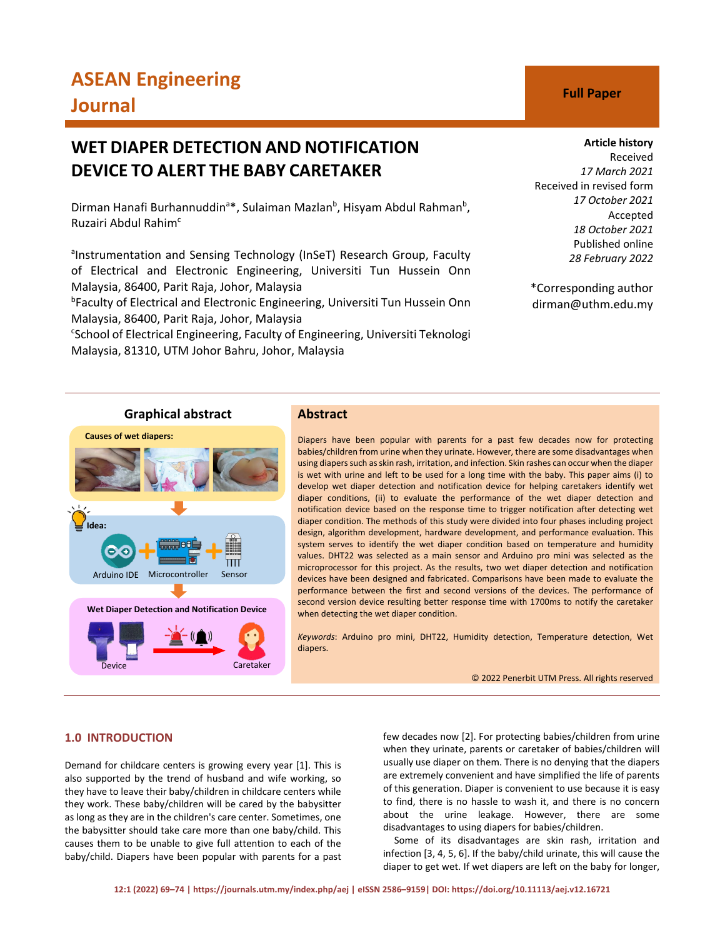# **ASEAN Engineering Journal C Full Paper**

## **WET DIAPER DETECTION AND NOTIFICATION DEVICE TO ALERT THE BABY CARETAKER**

Dirman Hanafi Burhannuddin<sup>a</sup>\*, Sulaiman Mazlan<sup>b</sup>, Hisyam Abdul Rahman<sup>b</sup>, Ruzairi Abdul Rahim<sup>c</sup>

anstrumentation and Sensing Technology (InSeT) Research Group, Faculty of Electrical and Electronic Engineering, Universiti Tun Hussein Onn Malaysia, 86400, Parit Raja, Johor, Malaysia

b Faculty of Electrical and Electronic Engineering, Universiti Tun Hussein Onn Malaysia, 86400, Parit Raja, Johor, Malaysia

<sup>c</sup>School of Electrical Engineering, Faculty of Engineering, Universiti Teknologi Malaysia, 81310, UTM Johor Bahru, Johor, Malaysia

#### **Article history**

Received *17 March 2021* Received in revised form *17 October 2021* Accepted *18 October 2021* Published online *28 February 2022*

\*Corresponding author dirman@uthm.edu.my

# **Causes of wet diapers: Idea:** Arduino IDE Microcontroller Sensor **Wet Diaper Detection and Notification Device**

## **Graphical abstract Abstract**

Diapers have been popular with parents for a past few decades now for protecting babies/children from urine when they urinate. However, there are some disadvantages when using diapers such as skin rash, irritation, and infection. Skin rashes can occur when the diaper is wet with urine and left to be used for a long time with the baby. This paper aims (i) to develop wet diaper detection and notification device for helping caretakers identify wet diaper conditions, (ii) to evaluate the performance of the wet diaper detection and notification device based on the response time to trigger notification after detecting wet diaper condition. The methods of this study were divided into four phases including project design, algorithm development, hardware development, and performance evaluation. This system serves to identify the wet diaper condition based on temperature and humidity values. DHT22 was selected as a main sensor and Arduino pro mini was selected as the microprocessor for this project. As the results, two wet diaper detection and notification devices have been designed and fabricated. Comparisons have been made to evaluate the performance between the first and second versions of the devices. The performance of second version device resulting better response time with 1700ms to notify the caretaker when detecting the wet diaper condition.

*Keywords*: Arduino pro mini, DHT22, Humidity detection, Temperature detection, Wet diapers.

© 2022 Penerbit UTM Press. All rights reserved

### **1.0 INTRODUCTION**

Demand for childcare centers is growing every year [1]. This is also supported by the trend of husband and wife working, so they have to leave their baby/children in childcare centers while they work. These baby/children will be cared by the babysitter as long as they are in the children's care center. Sometimes, one the babysitter should take care more than one baby/child. This causes them to be unable to give full attention to each of the baby/child. Diapers have been popular with parents for a past

Caretaker

few decades now [2]. For protecting babies/children from urine when they urinate, parents or caretaker of babies/children will usually use diaper on them. There is no denying that the diapers are extremely convenient and have simplified the life of parents of this generation. Diaper is convenient to use because it is easy to find, there is no hassle to wash it, and there is no concern about the urine leakage. However, there are some disadvantages to using diapers for babies/children.

Some of its disadvantages are skin rash, irritation and infection [3, 4, 5, 6]. If the baby/child urinate, this will cause the diaper to get wet. If wet diapers are left on the baby for longer,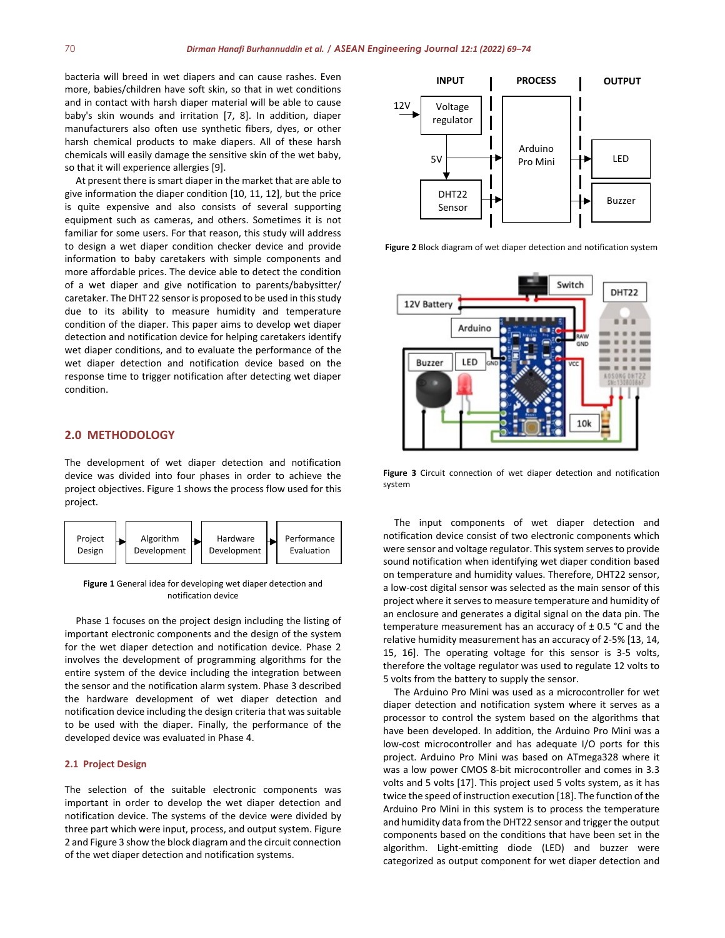bacteria will breed in wet diapers and can cause rashes. Even more, babies/children have soft skin, so that in wet conditions and in contact with harsh diaper material will be able to cause baby's skin wounds and irritation [7, 8]. In addition, diaper manufacturers also often use synthetic fibers, dyes, or other harsh chemical products to make diapers. All of these harsh chemicals will easily damage the sensitive skin of the wet baby, so that it will experience allergies [9].

At present there is smart diaper in the market that are able to give information the diaper condition [10, 11, 12], but the price is quite expensive and also consists of several supporting equipment such as cameras, and others. Sometimes it is not familiar for some users. For that reason, this study will address to design a wet diaper condition checker device and provide information to baby caretakers with simple components and more affordable prices. The device able to detect the condition of a wet diaper and give notification to parents/babysitter/ caretaker. The DHT 22 sensor is proposed to be used in this study due to its ability to measure humidity and temperature condition of the diaper. This paper aims to develop wet diaper detection and notification device for helping caretakers identify wet diaper conditions, and to evaluate the performance of the wet diaper detection and notification device based on the response time to trigger notification after detecting wet diaper condition.

#### **2.0 METHODOLOGY**

The development of wet diaper detection and notification device was divided into four phases in order to achieve the project objectives. Figure 1 shows the process flow used for this project.



**Figure 1** General idea for developing wet diaper detection and notification device

Phase 1 focuses on the project design including the listing of important electronic components and the design of the system for the wet diaper detection and notification device. Phase 2 involves the development of programming algorithms for the entire system of the device including the integration between the sensor and the notification alarm system. Phase 3 described the hardware development of wet diaper detection and notification device including the design criteria that was suitable to be used with the diaper. Finally, the performance of the developed device was evaluated in Phase 4.

#### **2.1 Project Design**

The selection of the suitable electronic components was important in order to develop the wet diaper detection and notification device. The systems of the device were divided by three part which were input, process, and output system. Figure 2 and Figure 3 show the block diagram and the circuit connection of the wet diaper detection and notification systems.



**Figure 2** Block diagram of wet diaper detection and notification system



**Figure 3** Circuit connection of wet diaper detection and notification system

The input components of wet diaper detection and notification device consist of two electronic components which were sensor and voltage regulator. This system serves to provide sound notification when identifying wet diaper condition based on temperature and humidity values. Therefore, DHT22 sensor, a low-cost digital sensor was selected as the main sensor of this project where it serves to measure temperature and humidity of an enclosure and generates a digital signal on the data pin. The temperature measurement has an accuracy of ± 0.5 °C and the relative humidity measurement has an accuracy of 2-5% [13, 14, 15, 16]. The operating voltage for this sensor is 3-5 volts, therefore the voltage regulator was used to regulate 12 volts to 5 volts from the battery to supply the sensor.

The Arduino Pro Mini was used as a microcontroller for wet diaper detection and notification system where it serves as a processor to control the system based on the algorithms that have been developed. In addition, the Arduino Pro Mini was a low-cost microcontroller and has adequate I/O ports for this project. Arduino Pro Mini was based on ATmega328 where it was a low power CMOS 8-bit microcontroller and comes in 3.3 volts and 5 volts [17]. This project used 5 volts system, as it has twice the speed of instruction execution [18]. The function of the Arduino Pro Mini in this system is to process the temperature and humidity data from the DHT22 sensor and trigger the output components based on the conditions that have been set in the algorithm. Light-emitting diode (LED) and buzzer were categorized as output component for wet diaper detection and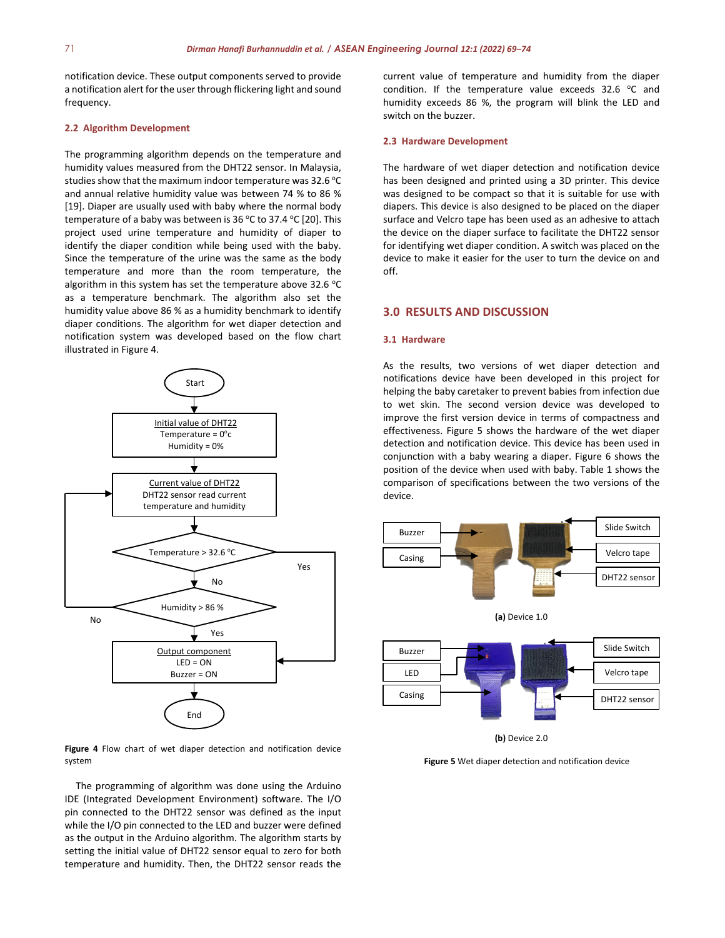notification device. These output components served to provide a notification alert for the user through flickering light and sound frequency.

#### **2.2 Algorithm Development**

The programming algorithm depends on the temperature and humidity values measured from the DHT22 sensor. In Malaysia, studies show that the maximum indoor temperature was  $32.6^{\circ}$ C and annual relative humidity value was between 74 % to 86 % [19]. Diaper are usually used with baby where the normal body temperature of a baby was between is 36 °C to 37.4 °C [20]. This project used urine temperature and humidity of diaper to identify the diaper condition while being used with the baby. Since the temperature of the urine was the same as the body temperature and more than the room temperature, the algorithm in this system has set the temperature above 32.6  $^{\circ}$ C as a temperature benchmark. The algorithm also set the humidity value above 86 % as a humidity benchmark to identify diaper conditions. The algorithm for wet diaper detection and notification system was developed based on the flow chart illustrated in Figure 4.



**Figure 4** Flow chart of wet diaper detection and notification device system

The programming of algorithm was done using the Arduino IDE (Integrated Development Environment) software. The I/O pin connected to the DHT22 sensor was defined as the input while the I/O pin connected to the LED and buzzer were defined as the output in the Arduino algorithm. The algorithm starts by setting the initial value of DHT22 sensor equal to zero for both temperature and humidity. Then, the DHT22 sensor reads the current value of temperature and humidity from the diaper condition. If the temperature value exceeds  $32.6$  °C and humidity exceeds 86 %, the program will blink the LED and switch on the buzzer.

#### **2.3 Hardware Development**

The hardware of wet diaper detection and notification device has been designed and printed using a 3D printer. This device was designed to be compact so that it is suitable for use with diapers. This device is also designed to be placed on the diaper surface and Velcro tape has been used as an adhesive to attach the device on the diaper surface to facilitate the DHT22 sensor for identifying wet diaper condition. A switch was placed on the device to make it easier for the user to turn the device on and off.

#### **3.0 RESULTS AND DISCUSSION**

#### **3.1 Hardware**

As the results, two versions of wet diaper detection and notifications device have been developed in this project for helping the baby caretaker to prevent babies from infection due to wet skin. The second version device was developed to improve the first version device in terms of compactness and effectiveness. Figure 5 shows the hardware of the wet diaper detection and notification device. This device has been used in conjunction with a baby wearing a diaper. Figure 6 shows the position of the device when used with baby. Table 1 shows the comparison of specifications between the two versions of the device.



**(a)** Device 1.0



**(b)** Device 2.0

**Figure 5** Wet diaper detection and notification device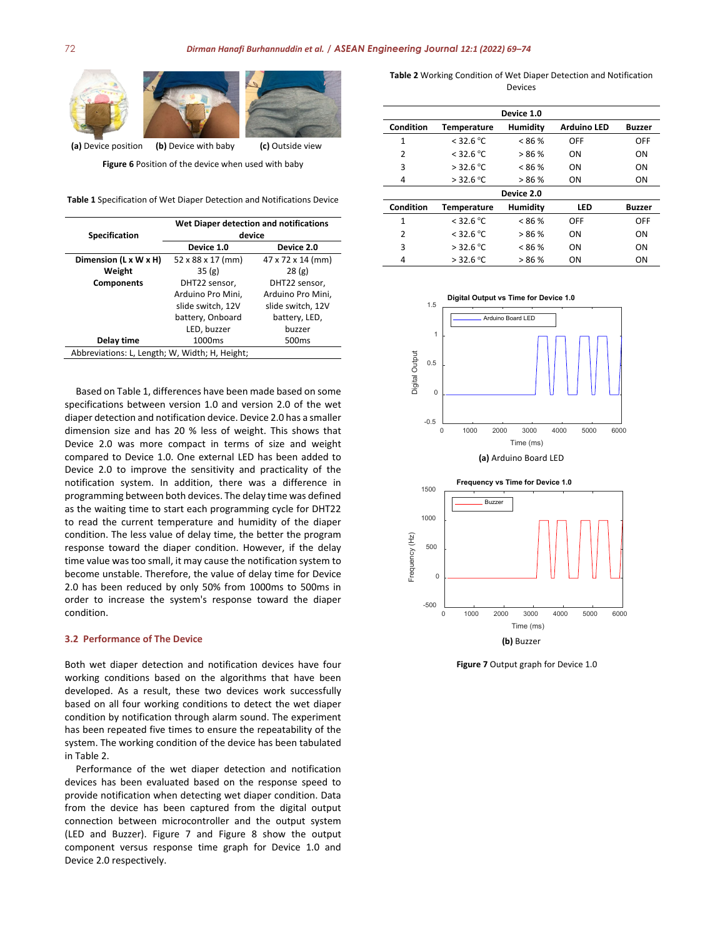

**Figure 6** Position of the device when used with baby

**Table 1** Specification of Wet Diaper Detection and Notifications Device

| <b>Specification</b>                           | Wet Diaper detection and notifications<br>device |                   |  |  |
|------------------------------------------------|--------------------------------------------------|-------------------|--|--|
|                                                | Device 1.0                                       | Device 2.0        |  |  |
| Dimension (L x W x H)                          | 52 x 88 x 17 (mm)                                | 47 x 72 x 14 (mm) |  |  |
| Weight                                         | 35(g)                                            | 28(g)             |  |  |
| <b>Components</b>                              | DHT22 sensor,                                    | DHT22 sensor.     |  |  |
|                                                | Arduino Pro Mini,                                | Arduino Pro Mini, |  |  |
|                                                | slide switch, 12V                                | slide switch, 12V |  |  |
|                                                | battery, Onboard                                 | battery, LED,     |  |  |
|                                                | LED, buzzer                                      | buzzer            |  |  |
| Delay time                                     | 1000 <sub>ms</sub>                               | 500 <sub>ms</sub> |  |  |
| Abbreviations: L, Length; W, Width; H, Height; |                                                  |                   |  |  |

Based on Table 1, differences have been made based on some specifications between version 1.0 and version 2.0 of the wet diaper detection and notification device. Device 2.0 has a smaller dimension size and has 20 % less of weight. This shows that Device 2.0 was more compact in terms of size and weight compared to Device 1.0. One external LED has been added to Device 2.0 to improve the sensitivity and practicality of the notification system. In addition, there was a difference in  programming between both devices. The delay time was defined as the waiting time to start each programming cycle for DHT22 to read the current temperature and humidity of the diaper condition. The less value of delay time, the better the program response toward the diaper condition. However, if the delay time value was too small, it may cause the notification system to become unstable. Therefore, the value of delay time for Device 2.0 has been reduced by only 50% from 1000ms to 500ms in order to increase the system's response toward the diaper condition.

#### **3.2 Performance of The Device**

Both wet diaper detection and notification devices have four working conditions based on the algorithms that have been developed. As a result, these two devices work successfully based on all four working conditions to detect the wet diaper condition by notification through alarm sound. The experiment has been repeated five times to ensure the repeatability of the system. The working condition of the device has been tabulated in Table 2.

Performance of the wet diaper detection and notification devices has been evaluated based on the response speed to provide notification when detecting wet diaper condition. Data from the device has been captured from the digital output connection between microcontroller and the output system (LED and Buzzer). Figure 7 and Figure 8 show the output component versus response time graph for Device 1.0 and Device 2.0 respectively.

**Table 2** Working Condition of Wet Diaper Detection and Notification Devices

| Device 1.0    |             |                 |                    |               |  |
|---------------|-------------|-----------------|--------------------|---------------|--|
| Condition     | Temperature | Humidity        | <b>Arduino LED</b> | Buzzer        |  |
| 1             | $<$ 32.6 °C | $< 86\%$        | OFF                | OFF           |  |
| 2             | $<$ 32.6 °C | >86%            | ON                 | ON            |  |
| 3             | $>$ 32.6 °C | $< 86\%$        | ON                 | ON            |  |
| 4             | $>$ 32.6 °C | >86%            | ON                 | <b>ON</b>     |  |
| Device 2.0    |             |                 |                    |               |  |
| Condition     | Temperature | <b>Humidity</b> | LED                | <b>Buzzer</b> |  |
| 1             | $<$ 32.6 °C | < 86 %          | OFF                | OFF           |  |
| $\mathcal{P}$ | $<$ 32.6 °C | >86%            | ON                 | ON            |  |
| 3             | $>$ 32.6 °C | $< 86\%$        | ON                 | ON            |  |
| 4             | $>$ 32.6 °C | >86%            | OΝ                 | ON            |  |



**(a)** Arduino Board LED



**Figure 7** Output graph for Device 1.0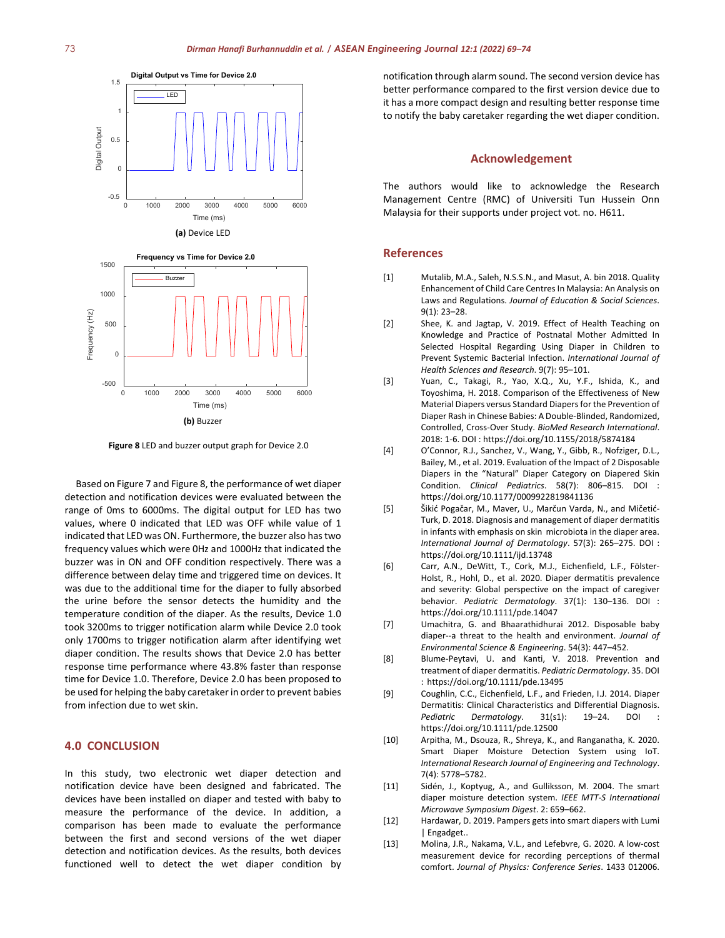



**Figure 8** LED and buzzer output graph for Device 2.0

Based on Figure 7 and Figure 8, the performance of wet diaper detection and notification devices were evaluated between the range of 0ms to 6000ms. The digital output for LED has two values, where 0 indicated that LED was OFF while value of 1 indicated that LED was ON. Furthermore, the buzzer also has two frequency values which were 0Hz and 1000Hz that indicated the buzzer was in ON and OFF condition respectively. There was a difference between delay time and triggered time on devices. It was due to the additional time for the diaper to fully absorbed the urine before the sensor detects the humidity and the temperature condition of the diaper. As the results, Device 1.0 took 3200ms to trigger notification alarm while Device 2.0 took only 1700ms to trigger notification alarm after identifying wet diaper condition. The results shows that Device 2.0 has better response time performance where 43.8% faster than response time for Device 1.0. Therefore, Device 2.0 has been proposed to be used for helping the baby caretaker in order to prevent babies from infection due to wet skin.

#### **4.0 CONCLUSION**

In this study, two electronic wet diaper detection and notification device have been designed and fabricated. The devices have been installed on diaper and tested with baby to measure the performance of the device. In addition, a comparison has been made to evaluate the performance between the first and second versions of the wet diaper detection and notification devices. As the results, both devices functioned well to detect the wet diaper condition by

notification through alarm sound. The second version device has  better performance compared to the first version device due to it has a more compact design and resulting better response time to notify the baby caretaker regarding the wet diaper condition.

#### **Acknowledgement**

The authors would like to acknowledge the Research Management Centre (RMC) of Universiti Tun Hussein Onn Malaysia for their supports under project vot. no. H611.

#### **References**

- [1] Mutalib, M.A., Saleh, N.S.S.N., and Masut, A. bin 2018. Quality Enhancement of Child Care Centres In Malaysia: An Analysis on Laws and Regulations. *Journal of Education & Social Sciences*. 9(1): 23–28.
- [2] Shee, K. and Jagtap, V. 2019. Effect of Health Teaching on Knowledge and Practice of Postnatal Mother Admitted In Selected Hospital Regarding Using Diaper in Children to Prevent Systemic Bacterial Infection. *International Journal of Health Sciences and Research*. 9(7): 95–101.
- [3] Yuan, C., Takagi, R., Yao, X.Q., Xu, Y.F., Ishida, K., and Toyoshima, H. 2018. Comparison of the Effectiveness of New Material Diapers versus Standard Diapers for the Prevention of Diaper Rash in Chinese Babies: A Double-Blinded, Randomized, Controlled, Cross-Over Study. *BioMed Research International*. 2018: 1-6. DOI : <https://doi.org/10.1155/2018/5874184>
- [4] O'Connor, R.J., Sanchez, V., Wang, Y., Gibb, R., Nofziger, D.L., Bailey, M., et al. 2019. Evaluation of the Impact of 2 Disposable Diapers in the "Natural" Diaper Category on Diapered Skin Condition. *Clinical Pediatrics*. 58(7): 806–815. DOI : <https://doi.org/10.1177/0009922819841136>
- [5] Šikić Pogačar, M., Maver, U., Marčun Varda, N., and Mičetić-Turk, D. 2018. Diagnosis and management of diaper dermatitis in infants with emphasis on skin microbiota in the diaper area. *International Journal of Dermatology*. 57(3): 265–275. DOI : <https://doi.org/10.1111/ijd.13748>
- [6] Carr, A.N., DeWitt, T., Cork, M.J., Eichenfield, L.F., Fölster-Holst, R., Hohl, D., et al. 2020. Diaper dermatitis prevalence and severity: Global perspective on the impact of caregiver behavior. *Pediatric Dermatology*. 37(1): 130–136. DOI : <https://doi.org/10.1111/pde.14047>
- [7] Umachitra, G. and Bhaarathidhurai 2012. Disposable baby diaper--a threat to the health and environment. *Journal of Environmental Science & Engineering*. 54(3): 447–452.
- [8] Blume-Peytavi, U. and Kanti, V. 2018. Prevention and treatment of diaper dermatitis. *Pediatric Dermatology*. 35. DOI : <https://doi.org/10.1111/pde.13495>
- [9] Coughlin, C.C., Eichenfield, L.F., and Frieden, I.J. 2014. Diaper Dermatitis: Clinical Characteristics and Differential Diagnosis. Pediatric Dermatology. 31(s1): 19-24. DOI <https://doi.org/10.1111/pde.12500>
- [10] Arpitha, M., Dsouza, R., Shreya, K., and Ranganatha, K. 2020. Smart Diaper Moisture Detection System using IoT. *International Research Journal of Engineering and Technology*. 7(4): 5778–5782.
- [11] Sidén, J., Koptyug, A., and Gulliksson, M. 2004. The smart diaper moisture detection system. *IEEE MTT-S International Microwave Symposium Digest*. 2: 659–662.
- [12] Hardawar, D. 2019. Pampers gets into smart diapers with Lumi | Engadget..
- [13] Molina, J.R., Nakama, V.L., and Lefebvre, G. 2020. A low-cost measurement device for recording perceptions of thermal comfort. *Journal of Physics: Conference Series*. 1433 012006.